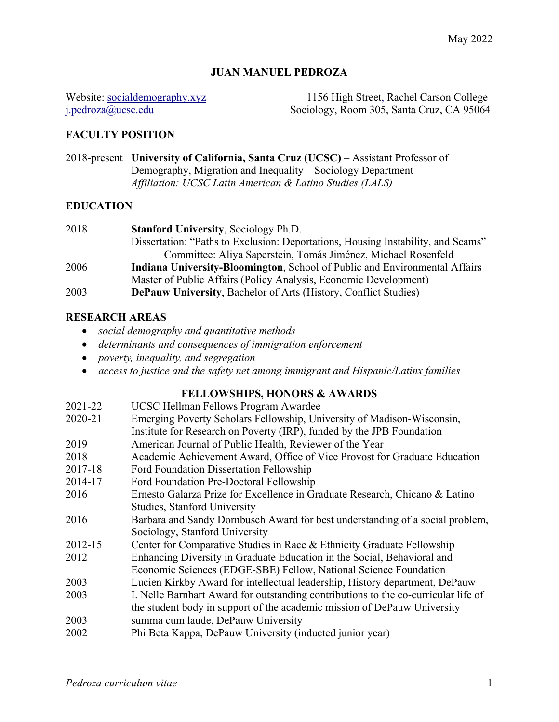## **JUAN MANUEL PEDROZA**

Website: socialdemography.xyz 1156 High Street, Rachel Carson College i.pedroza@ucsc.edu Sociology, Room 305, Santa Cruz, CA 95064 Sociology, Room 305, Santa Cruz, CA 95064

## **FACULTY POSITION**

2018-present **University of California, Santa Cruz (UCSC)** – Assistant Professor of Demography, Migration and Inequality – Sociology Department *Affiliation: UCSC Latin American & Latino Studies (LALS)*

### **EDUCATION**

| 2018 | <b>Stanford University, Sociology Ph.D.</b>                                       |
|------|-----------------------------------------------------------------------------------|
|      | Dissertation: "Paths to Exclusion: Deportations, Housing Instability, and Scams"  |
|      | Committee: Aliya Saperstein, Tomás Jiménez, Michael Rosenfeld                     |
| 2006 | <b>Indiana University-Bloomington, School of Public and Environmental Affairs</b> |
|      | Master of Public Affairs (Policy Analysis, Economic Development)                  |
| 2003 | <b>DePauw University, Bachelor of Arts (History, Conflict Studies)</b>            |

## **RESEARCH AREAS**

- *social demography and quantitative methods*
- *determinants and consequences of immigration enforcement*
- *poverty, inequality, and segregation*
- *access to justice and the safety net among immigrant and Hispanic/Latinx families*

# **FELLOWSHIPS, HONORS & AWARDS**

| 2021-22 | UCSC Hellman Fellows Program Awardee                                               |
|---------|------------------------------------------------------------------------------------|
| 2020-21 | Emerging Poverty Scholars Fellowship, University of Madison-Wisconsin,             |
|         | Institute for Research on Poverty (IRP), funded by the JPB Foundation              |
| 2019    | American Journal of Public Health, Reviewer of the Year                            |
| 2018    | Academic Achievement Award, Office of Vice Provost for Graduate Education          |
| 2017-18 | <b>Ford Foundation Dissertation Fellowship</b>                                     |
| 2014-17 | Ford Foundation Pre-Doctoral Fellowship                                            |
| 2016    | Ernesto Galarza Prize for Excellence in Graduate Research, Chicano & Latino        |
|         | <b>Studies, Stanford University</b>                                                |
| 2016    | Barbara and Sandy Dornbusch Award for best understanding of a social problem,      |
|         | Sociology, Stanford University                                                     |
| 2012-15 | Center for Comparative Studies in Race & Ethnicity Graduate Fellowship             |
| 2012    | Enhancing Diversity in Graduate Education in the Social, Behavioral and            |
|         | Economic Sciences (EDGE-SBE) Fellow, National Science Foundation                   |
| 2003    | Lucien Kirkby Award for intellectual leadership, History department, DePauw        |
| 2003    | I. Nelle Barnhart Award for outstanding contributions to the co-curricular life of |
|         | the student body in support of the academic mission of DePauw University           |
| 2003    | summa cum laude, DePauw University                                                 |
| 2002    | Phi Beta Kappa, DePauw University (inducted junior year)                           |
|         |                                                                                    |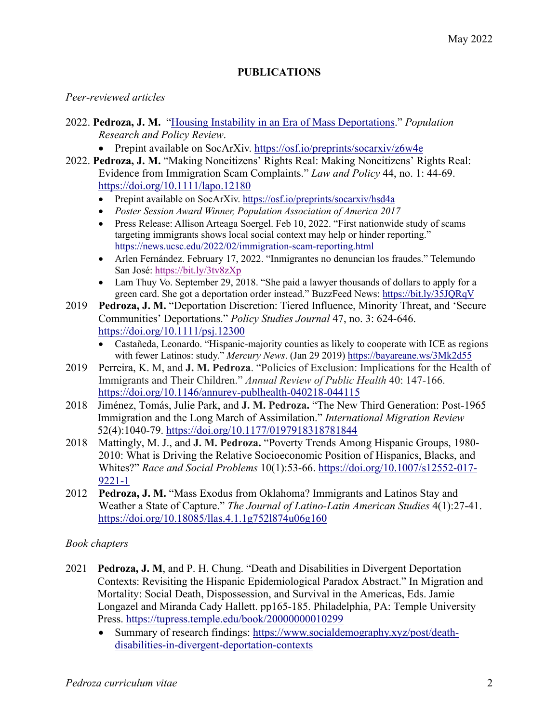## **PUBLICATIONS**

### *Peer-reviewed articles*

- 2022. **Pedroza, J. M.** "Housing Instability in an Era of Mass Deportations." *Population Research and Policy Review*.
	- Prepint available on SocArXiv. https://osf.io/preprints/socarxiv/z6w4e
- 2022. **Pedroza, J. M.** "Making Noncitizens' Rights Real: Making Noncitizens' Rights Real: Evidence from Immigration Scam Complaints." *Law and Policy* 44, no. 1: 44-69. https://doi.org/10.1111/lapo.12180
	- Prepint available on SocArXiv. https://osf.io/preprints/socarxiv/hsd4a
	- *Poster Session Award Winner, Population Association of America 2017*
	- Press Release: Allison Arteaga Soergel. Feb 10, 2022. "First nationwide study of scams targeting immigrants shows local social context may help or hinder reporting." https://news.ucsc.edu/2022/02/immigration-scam-reporting.html
	- Arlen Fernández. February 17, 2022. "Inmigrantes no denuncian los fraudes." Telemundo San José: https://bit.ly/3tv8zXp
	- Lam Thuy Vo. September 29, 2018. "She paid a lawyer thousands of dollars to apply for a green card. She got a deportation order instead." BuzzFeed News: https://bit.ly/35JQRqV
- 2019 **Pedroza, J. M.** "Deportation Discretion: Tiered Influence, Minority Threat, and 'Secure Communities' Deportations." *Policy Studies Journal* 47, no. 3: 624-646. https://doi.org/10.1111/psj.12300
	- Castañeda, Leonardo. "Hispanic-majority counties as likely to cooperate with ICE as regions with fewer Latinos: study." *Mercury News*. (Jan 29 2019) https://bayareane.ws/3Mk2d55
- 2019 Perreira, K. M, and **J. M. Pedroza**. "Policies of Exclusion: Implications for the Health of Immigrants and Their Children." *Annual Review of Public Health* 40: 147-166. https://doi.org/10.1146/annurev-publhealth-040218-044115
- 2018 Jiménez, Tomás, Julie Park, and **J. M. Pedroza.** "The New Third Generation: Post-1965 Immigration and the Long March of Assimilation." *International Migration Review* 52(4):1040-79. https://doi.org/10.1177/0197918318781844
- 2018 Mattingly, M. J., and **J. M. Pedroza.** "Poverty Trends Among Hispanic Groups, 1980- 2010: What is Driving the Relative Socioeconomic Position of Hispanics, Blacks, and Whites?" *Race and Social Problems* 10(1):53-66. https://doi.org/10.1007/s12552-017- 9221-1
- 2012 **Pedroza, J. M.** "Mass Exodus from Oklahoma? Immigrants and Latinos Stay and Weather a State of Capture." *The Journal of Latino-Latin American Studies* 4(1):27-41. https://doi.org/10.18085/llas.4.1.1g752l874u06g160

## *Book chapters*

- 2021 **Pedroza, J. M**, and P. H. Chung. "Death and Disabilities in Divergent Deportation Contexts: Revisiting the Hispanic Epidemiological Paradox Abstract." In Migration and Mortality: Social Death, Dispossession, and Survival in the Americas, Eds. Jamie Longazel and Miranda Cady Hallett. pp165-185. Philadelphia, PA: Temple University Press. https://tupress.temple.edu/book/20000000010299
	- Summary of research findings: https://www.socialdemography.xyz/post/deathdisabilities-in-divergent-deportation-contexts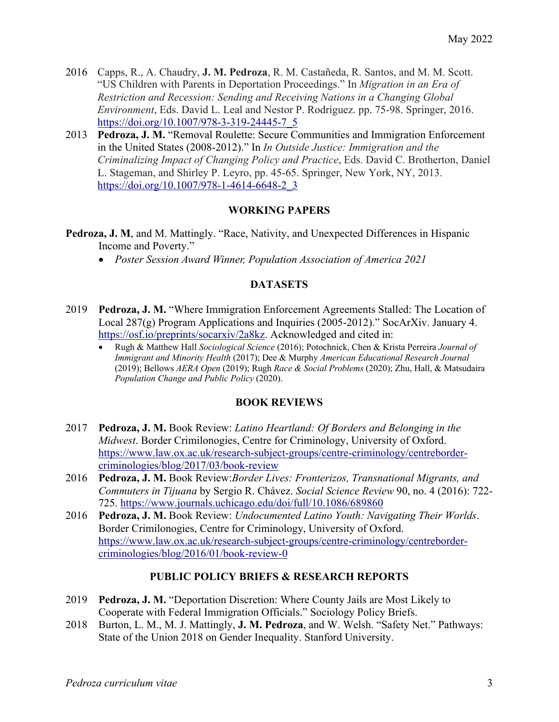- 2016 Capps, R., A. Chaudry, **J. M. Pedroza**, R. M. Castañeda, R. Santos, and M. M. Scott. "US Children with Parents in Deportation Proceedings." In *Migration in an Era of Restriction and Recession: Sending and Receiving Nations in a Changing Global Environment*, Eds. David L. Leal and Nestor P. Rodríguez. pp. 75-98. Springer, 2016. https://doi.org/10.1007/978-3-319-24445-7\_5
- 2013 **Pedroza, J. M.** "Removal Roulette: Secure Communities and Immigration Enforcement in the United States (2008-2012)." In *In Outside Justice: Immigration and the Criminalizing Impact of Changing Policy and Practice*, Eds. David C. Brotherton, Daniel L. Stageman, and Shirley P. Leyro, pp. 45-65. Springer, New York, NY, 2013. https://doi.org/10.1007/978-1-4614-6648-2\_3

## **WORKING PAPERS**

- **Pedroza, J. M**, and M. Mattingly. "Race, Nativity, and Unexpected Differences in Hispanic Income and Poverty."
	- *Poster Session Award Winner, Population Association of America 2021*

## **DATASETS**

- 2019 **Pedroza, J. M.** "Where Immigration Enforcement Agreements Stalled: The Location of Local 287(g) Program Applications and Inquiries (2005-2012)." SocArXiv. January 4. https://osf.io/preprints/socarxiv/2a8kz. Acknowledged and cited in:
	- Rugh & Matthew Hall *Sociological Science* (2016); Potochnick, Chen & Krista Perreira *Journal of Immigrant and Minority Health* (2017); Dee & Murphy *American Educational Research Journal* (2019); Bellows *AERA Open* (2019); Rugh *Race & Social Problems* (2020); Zhu, Hall, & Matsudaira *Population Change and Public Policy* (2020).

## **BOOK REVIEWS**

- 2017 **Pedroza, J. M.** Book Review: *Latino Heartland: Of Borders and Belonging in the Midwest*. Border Crimilonogies, Centre for Criminology, University of Oxford. https://www.law.ox.ac.uk/research-subject-groups/centre-criminology/centrebordercriminologies/blog/2017/03/book-review
- 2016 **Pedroza, J. M.** Book Review:*Border Lives: Fronterizos, Transnational Migrants, and Commuters in Tijuana* by Sergio R. Chávez. *Social Science Review* 90, no. 4 (2016): 722- 725. https://www.journals.uchicago.edu/doi/full/10.1086/689860
- 2016 **Pedroza, J. M.** Book Review: *Undocumented Latino Youth: Navigating Their Worlds*. Border Crimilonogies, Centre for Criminology, University of Oxford. https://www.law.ox.ac.uk/research-subject-groups/centre-criminology/centrebordercriminologies/blog/2016/01/book-review-0

## **PUBLIC POLICY BRIEFS & RESEARCH REPORTS**

- 2019 **Pedroza, J. M.** "Deportation Discretion: Where County Jails are Most Likely to Cooperate with Federal Immigration Officials." Sociology Policy Briefs.
- 2018 Burton, L. M., M. J. Mattingly, **J. M. Pedroza**, and W. Welsh. "Safety Net." Pathways: State of the Union 2018 on Gender Inequality. Stanford University.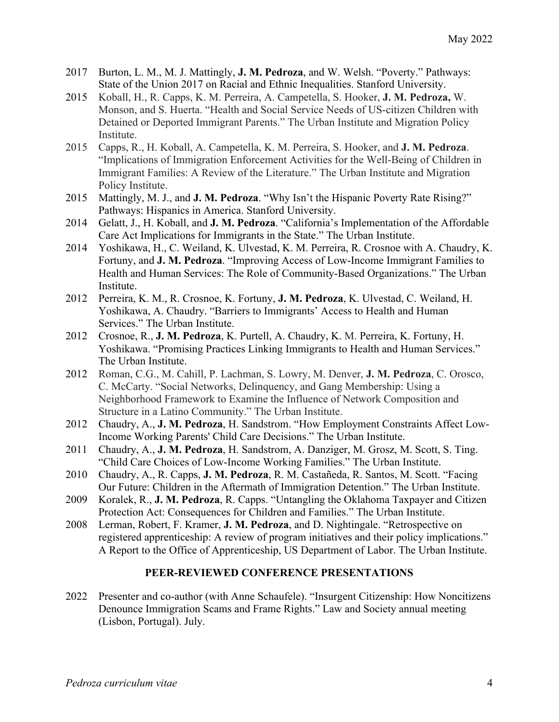- 2017 Burton, L. M., M. J. Mattingly, **J. M. Pedroza**, and W. Welsh. "Poverty." Pathways: State of the Union 2017 on Racial and Ethnic Inequalities. Stanford University.
- 2015 Koball, H., R. Capps, K. M. Perreira, A. Campetella, S. Hooker, **J. M. Pedroza,** W. Monson, and S. Huerta. "Health and Social Service Needs of US-citizen Children with Detained or Deported Immigrant Parents." The Urban Institute and Migration Policy Institute.
- 2015 Capps, R., H. Koball, A. Campetella, K. M. Perreira, S. Hooker, and **J. M. Pedroza**. "Implications of Immigration Enforcement Activities for the Well-Being of Children in Immigrant Families: A Review of the Literature." The Urban Institute and Migration Policy Institute.
- 2015 Mattingly, M. J., and **J. M. Pedroza**. "Why Isn't the Hispanic Poverty Rate Rising?" Pathways: Hispanics in America. Stanford University.
- 2014 Gelatt, J., H. Koball, and **J. M. Pedroza**. "California's Implementation of the Affordable Care Act Implications for Immigrants in the State." The Urban Institute.
- 2014 Yoshikawa, H., C. Weiland, K. Ulvestad, K. M. Perreira, R. Crosnoe with A. Chaudry, K. Fortuny, and **J. M. Pedroza**. "Improving Access of Low-Income Immigrant Families to Health and Human Services: The Role of Community-Based Organizations." The Urban Institute.
- 2012 Perreira, K. M., R. Crosnoe, K. Fortuny, **J. M. Pedroza**, K. Ulvestad, C. Weiland, H. Yoshikawa, A. Chaudry. "Barriers to Immigrants' Access to Health and Human Services." The Urban Institute.
- 2012 Crosnoe, R., **J. M. Pedroza**, K. Purtell, A. Chaudry, K. M. Perreira, K. Fortuny, H. Yoshikawa. "Promising Practices Linking Immigrants to Health and Human Services." The Urban Institute.
- 2012 Roman, C.G., M. Cahill, P. Lachman, S. Lowry, M. Denver, **J. M. Pedroza**, C. Orosco, C. McCarty. "Social Networks, Delinquency, and Gang Membership: Using a Neighborhood Framework to Examine the Influence of Network Composition and Structure in a Latino Community." The Urban Institute.
- 2012 Chaudry, A., **J. M. Pedroza**, H. Sandstrom. "How Employment Constraints Affect Low-Income Working Parents' Child Care Decisions." The Urban Institute.
- 2011 Chaudry, A., **J. M. Pedroza**, H. Sandstrom, A. Danziger, M. Grosz, M. Scott, S. Ting. "Child Care Choices of Low-Income Working Families." The Urban Institute.
- 2010 Chaudry, A., R. Capps, **J. M. Pedroza**, R. M. Castañeda, R. Santos, M. Scott. "Facing Our Future: Children in the Aftermath of Immigration Detention." The Urban Institute.
- 2009 Koralek, R., **J. M. Pedroza**, R. Capps. "Untangling the Oklahoma Taxpayer and Citizen Protection Act: Consequences for Children and Families." The Urban Institute.
- 2008 Lerman, Robert, F. Kramer, **J. M. Pedroza**, and D. Nightingale. "Retrospective on registered apprenticeship: A review of program initiatives and their policy implications." A Report to the Office of Apprenticeship, US Department of Labor. The Urban Institute.

### **PEER-REVIEWED CONFERENCE PRESENTATIONS**

2022 Presenter and co-author (with Anne Schaufele). "Insurgent Citizenship: How Noncitizens Denounce Immigration Scams and Frame Rights." Law and Society annual meeting (Lisbon, Portugal). July.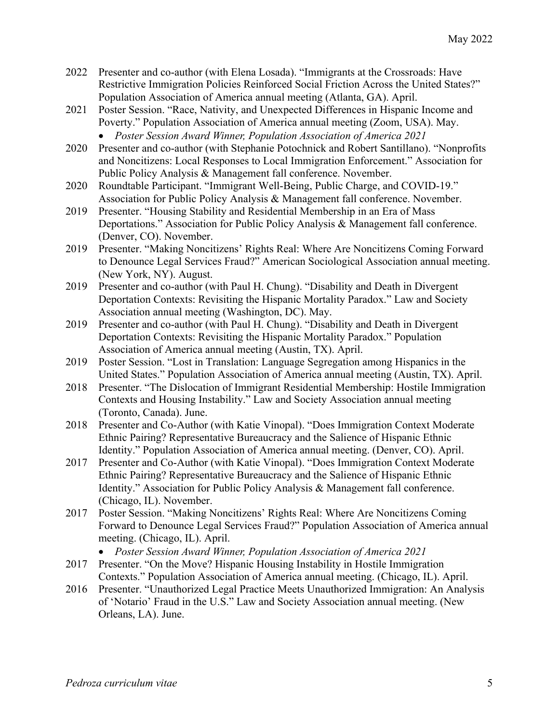- 2022 Presenter and co-author (with Elena Losada). "Immigrants at the Crossroads: Have Restrictive Immigration Policies Reinforced Social Friction Across the United States?" Population Association of America annual meeting (Atlanta, GA). April.
- 2021 Poster Session. "Race, Nativity, and Unexpected Differences in Hispanic Income and Poverty." Population Association of America annual meeting (Zoom, USA). May. • *Poster Session Award Winner, Population Association of America 2021*
- 2020 Presenter and co-author (with Stephanie Potochnick and Robert Santillano). "Nonprofits and Noncitizens: Local Responses to Local Immigration Enforcement." Association for Public Policy Analysis & Management fall conference. November.
- 2020 Roundtable Participant. "Immigrant Well-Being, Public Charge, and COVID-19." Association for Public Policy Analysis & Management fall conference. November.
- 2019 Presenter. "Housing Stability and Residential Membership in an Era of Mass Deportations." Association for Public Policy Analysis & Management fall conference. (Denver, CO). November.
- 2019 Presenter. "Making Noncitizens' Rights Real: Where Are Noncitizens Coming Forward to Denounce Legal Services Fraud?" American Sociological Association annual meeting. (New York, NY). August.
- 2019 Presenter and co-author (with Paul H. Chung). "Disability and Death in Divergent Deportation Contexts: Revisiting the Hispanic Mortality Paradox." Law and Society Association annual meeting (Washington, DC). May.
- 2019 Presenter and co-author (with Paul H. Chung). "Disability and Death in Divergent Deportation Contexts: Revisiting the Hispanic Mortality Paradox." Population Association of America annual meeting (Austin, TX). April.
- 2019 Poster Session. "Lost in Translation: Language Segregation among Hispanics in the United States." Population Association of America annual meeting (Austin, TX). April.
- 2018 Presenter. "The Dislocation of Immigrant Residential Membership: Hostile Immigration Contexts and Housing Instability." Law and Society Association annual meeting (Toronto, Canada). June.
- 2018 Presenter and Co-Author (with Katie Vinopal). "Does Immigration Context Moderate Ethnic Pairing? Representative Bureaucracy and the Salience of Hispanic Ethnic Identity." Population Association of America annual meeting. (Denver, CO). April.
- 2017 Presenter and Co-Author (with Katie Vinopal). "Does Immigration Context Moderate Ethnic Pairing? Representative Bureaucracy and the Salience of Hispanic Ethnic Identity." Association for Public Policy Analysis & Management fall conference. (Chicago, IL). November.
- 2017 Poster Session. "Making Noncitizens' Rights Real: Where Are Noncitizens Coming Forward to Denounce Legal Services Fraud?" Population Association of America annual meeting. (Chicago, IL). April.
	- *Poster Session Award Winner, Population Association of America 2021*
- 2017 Presenter. "On the Move? Hispanic Housing Instability in Hostile Immigration Contexts." Population Association of America annual meeting. (Chicago, IL). April.
- 2016 Presenter. "Unauthorized Legal Practice Meets Unauthorized Immigration: An Analysis of 'Notario' Fraud in the U.S." Law and Society Association annual meeting. (New Orleans, LA). June.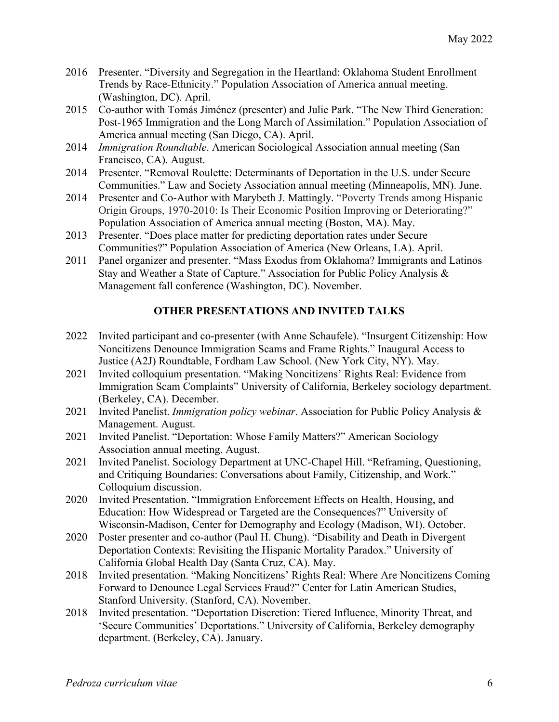- 2016 Presenter. "Diversity and Segregation in the Heartland: Oklahoma Student Enrollment Trends by Race-Ethnicity." Population Association of America annual meeting. (Washington, DC). April.
- 2015 Co-author with Tomás Jiménez (presenter) and Julie Park. "The New Third Generation: Post-1965 Immigration and the Long March of Assimilation." Population Association of America annual meeting (San Diego, CA). April.
- 2014 *Immigration Roundtable*. American Sociological Association annual meeting (San Francisco, CA). August.
- 2014 Presenter. "Removal Roulette: Determinants of Deportation in the U.S. under Secure Communities." Law and Society Association annual meeting (Minneapolis, MN). June.
- 2014 Presenter and Co-Author with Marybeth J. Mattingly. "Poverty Trends among Hispanic Origin Groups, 1970-2010: Is Their Economic Position Improving or Deteriorating?" Population Association of America annual meeting (Boston, MA). May.
- 2013 Presenter. "Does place matter for predicting deportation rates under Secure Communities?" Population Association of America (New Orleans, LA). April.
- 2011 Panel organizer and presenter. "Mass Exodus from Oklahoma? Immigrants and Latinos Stay and Weather a State of Capture." Association for Public Policy Analysis & Management fall conference (Washington, DC). November.

# **OTHER PRESENTATIONS AND INVITED TALKS**

- 2022 Invited participant and co-presenter (with Anne Schaufele). "Insurgent Citizenship: How Noncitizens Denounce Immigration Scams and Frame Rights." Inaugural Access to Justice (A2J) Roundtable, Fordham Law School. (New York City, NY). May.
- 2021 Invited colloquium presentation. "Making Noncitizens' Rights Real: Evidence from Immigration Scam Complaints" University of California, Berkeley sociology department. (Berkeley, CA). December.
- 2021 Invited Panelist. *Immigration policy webinar*. Association for Public Policy Analysis & Management. August.
- 2021 Invited Panelist. "Deportation: Whose Family Matters?" American Sociology Association annual meeting. August.
- 2021 Invited Panelist. Sociology Department at UNC-Chapel Hill. "Reframing, Questioning, and Critiquing Boundaries: Conversations about Family, Citizenship, and Work." Colloquium discussion.
- 2020 Invited Presentation. "Immigration Enforcement Effects on Health, Housing, and Education: How Widespread or Targeted are the Consequences?" University of Wisconsin-Madison, Center for Demography and Ecology (Madison, WI). October.
- 2020 Poster presenter and co-author (Paul H. Chung). "Disability and Death in Divergent Deportation Contexts: Revisiting the Hispanic Mortality Paradox." University of California Global Health Day (Santa Cruz, CA). May.
- 2018 Invited presentation. "Making Noncitizens' Rights Real: Where Are Noncitizens Coming Forward to Denounce Legal Services Fraud?" Center for Latin American Studies, Stanford University. (Stanford, CA). November.
- 2018 Invited presentation. "Deportation Discretion: Tiered Influence, Minority Threat, and 'Secure Communities' Deportations." University of California, Berkeley demography department. (Berkeley, CA). January.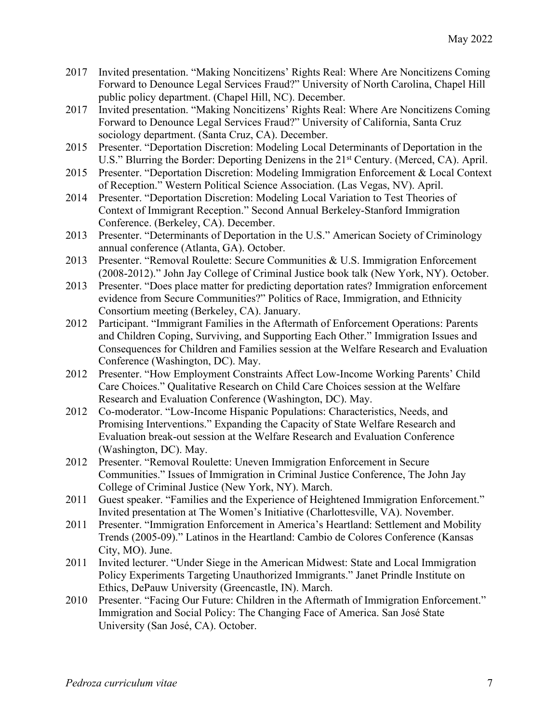- 2017 Invited presentation. "Making Noncitizens' Rights Real: Where Are Noncitizens Coming Forward to Denounce Legal Services Fraud?" University of North Carolina, Chapel Hill public policy department. (Chapel Hill, NC). December.
- 2017 Invited presentation. "Making Noncitizens' Rights Real: Where Are Noncitizens Coming Forward to Denounce Legal Services Fraud?" University of California, Santa Cruz sociology department. (Santa Cruz, CA). December.
- 2015 Presenter. "Deportation Discretion: Modeling Local Determinants of Deportation in the U.S." Blurring the Border: Deporting Denizens in the 21<sup>st</sup> Century. (Merced, CA). April.
- 2015 Presenter. "Deportation Discretion: Modeling Immigration Enforcement & Local Context of Reception." Western Political Science Association. (Las Vegas, NV). April.
- 2014 Presenter. "Deportation Discretion: Modeling Local Variation to Test Theories of Context of Immigrant Reception." Second Annual Berkeley-Stanford Immigration Conference. (Berkeley, CA). December.
- 2013 Presenter. "Determinants of Deportation in the U.S." American Society of Criminology annual conference (Atlanta, GA). October.
- 2013 Presenter. "Removal Roulette: Secure Communities & U.S. Immigration Enforcement (2008-2012)." John Jay College of Criminal Justice book talk (New York, NY). October.
- 2013 Presenter. "Does place matter for predicting deportation rates? Immigration enforcement evidence from Secure Communities?" Politics of Race, Immigration, and Ethnicity Consortium meeting (Berkeley, CA). January.
- 2012 Participant. "Immigrant Families in the Aftermath of Enforcement Operations: Parents and Children Coping, Surviving, and Supporting Each Other." Immigration Issues and Consequences for Children and Families session at the Welfare Research and Evaluation Conference (Washington, DC). May.
- 2012 Presenter. "How Employment Constraints Affect Low-Income Working Parents' Child Care Choices." Qualitative Research on Child Care Choices session at the Welfare Research and Evaluation Conference (Washington, DC). May.
- 2012 Co-moderator. "Low-Income Hispanic Populations: Characteristics, Needs, and Promising Interventions." Expanding the Capacity of State Welfare Research and Evaluation break-out session at the Welfare Research and Evaluation Conference (Washington, DC). May.
- 2012 Presenter. "Removal Roulette: Uneven Immigration Enforcement in Secure Communities." Issues of Immigration in Criminal Justice Conference, The John Jay College of Criminal Justice (New York, NY). March.
- 2011 Guest speaker. "Families and the Experience of Heightened Immigration Enforcement." Invited presentation at The Women's Initiative (Charlottesville, VA). November.
- 2011 Presenter. "Immigration Enforcement in America's Heartland: Settlement and Mobility Trends (2005-09)." Latinos in the Heartland: Cambio de Colores Conference (Kansas City, MO). June.
- 2011 Invited lecturer. "Under Siege in the American Midwest: State and Local Immigration Policy Experiments Targeting Unauthorized Immigrants." Janet Prindle Institute on Ethics, DePauw University (Greencastle, IN). March.
- 2010 Presenter. "Facing Our Future: Children in the Aftermath of Immigration Enforcement." Immigration and Social Policy: The Changing Face of America. San José State University (San José, CA). October.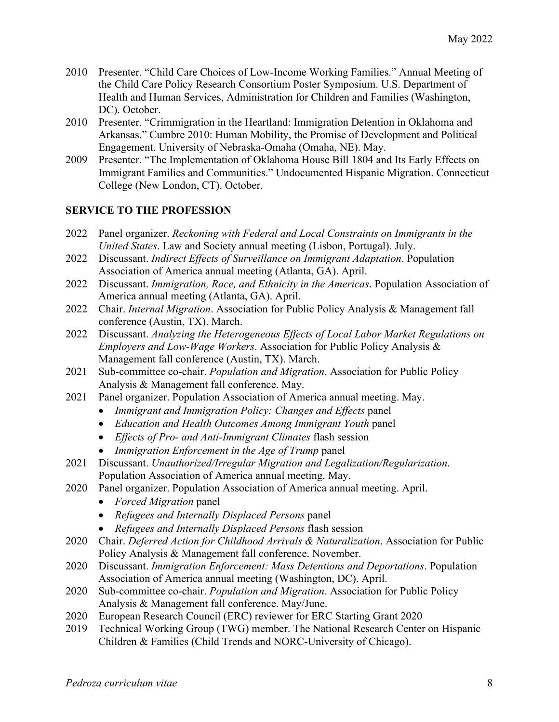- 2010 Presenter. "Child Care Choices of Low-Income Working Families." Annual Meeting of the Child Care Policy Research Consortium Poster Symposium. U.S. Department of Health and Human Services, Administration for Children and Families (Washington, DC). October.
- 2010 Presenter. "Crimmigration in the Heartland: Immigration Detention in Oklahoma and Arkansas." Cumbre 2010: Human Mobility, the Promise of Development and Political Engagement. University of Nebraska-Omaha (Omaha, NE). May.
- 2009 Presenter. "The Implementation of Oklahoma House Bill 1804 and Its Early Effects on Immigrant Families and Communities." Undocumented Hispanic Migration. Connecticut College (New London, CT). October.

## **SERVICE TO THE PROFESSION**

- 2022 Panel organizer. *Reckoning with Federal and Local Constraints on Immigrants in the United States*. Law and Society annual meeting (Lisbon, Portugal). July.
- 2022 Discussant. *Indirect Effects of Surveillance on Immigrant Adaptation*. Population Association of America annual meeting (Atlanta, GA). April.
- 2022 Discussant. *Immigration, Race, and Ethnicity in the Americas*. Population Association of America annual meeting (Atlanta, GA). April.
- 2022 Chair. *Internal Migration*. Association for Public Policy Analysis & Management fall conference (Austin, TX). March.
- 2022 Discussant. *Analyzing the Heterogeneous Effects of Local Labor Market Regulations on Employers and Low-Wage Workers*. Association for Public Policy Analysis & Management fall conference (Austin, TX). March.
- 2021 Sub-committee co-chair. *Population and Migration*. Association for Public Policy Analysis & Management fall conference. May.
- 2021 Panel organizer. Population Association of America annual meeting. May.
	- *Immigrant and Immigration Policy: Changes and Effects* panel
	- *Education and Health Outcomes Among Immigrant Youth* panel
	- *Effects of Pro- and Anti-Immigrant Climates* flash session
	- *Immigration Enforcement in the Age of Trump* panel
- 2021 Discussant. *Unauthorized/Irregular Migration and Legalization/Regularization*. Population Association of America annual meeting. May.
- 2020 Panel organizer. Population Association of America annual meeting. April.
	- *Forced Migration* panel
	- *Refugees and Internally Displaced Persons* panel
	- *Refugees and Internally Displaced Persons* flash session
- 2020 Chair. *Deferred Action for Childhood Arrivals & Naturalization*. Association for Public Policy Analysis & Management fall conference. November.
- 2020 Discussant. *Immigration Enforcement: Mass Detentions and Deportations*. Population Association of America annual meeting (Washington, DC). April.
- 2020 Sub-committee co-chair. *Population and Migration*. Association for Public Policy Analysis & Management fall conference. May/June.
- 2020 European Research Council (ERC) reviewer for ERC Starting Grant 2020
- 2019 Technical Working Group (TWG) member. The National Research Center on Hispanic Children & Families (Child Trends and NORC-University of Chicago).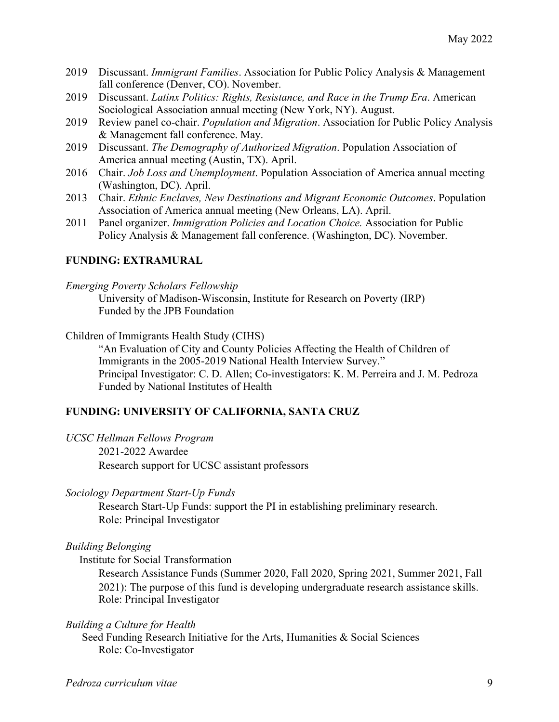- 2019 Discussant. *Immigrant Families*. Association for Public Policy Analysis & Management fall conference (Denver, CO). November.
- 2019 Discussant. *Latinx Politics: Rights, Resistance, and Race in the Trump Era*. American Sociological Association annual meeting (New York, NY). August.
- 2019 Review panel co-chair. *Population and Migration*. Association for Public Policy Analysis & Management fall conference. May.
- 2019 Discussant. *The Demography of Authorized Migration*. Population Association of America annual meeting (Austin, TX). April.
- 2016 Chair. *Job Loss and Unemployment*. Population Association of America annual meeting (Washington, DC). April.
- 2013 Chair. *Ethnic Enclaves, New Destinations and Migrant Economic Outcomes*. Population Association of America annual meeting (New Orleans, LA). April.
- 2011 Panel organizer. *Immigration Policies and Location Choice.* Association for Public Policy Analysis & Management fall conference. (Washington, DC). November.

#### **FUNDING: EXTRAMURAL**

*Emerging Poverty Scholars Fellowship*

University of Madison-Wisconsin, Institute for Research on Poverty (IRP) Funded by the JPB Foundation

Children of Immigrants Health Study (CIHS)

"An Evaluation of City and County Policies Affecting the Health of Children of Immigrants in the 2005-2019 National Health Interview Survey." Principal Investigator: C. D. Allen; Co-investigators: K. M. Perreira and J. M. Pedroza Funded by National Institutes of Health

#### **FUNDING: UNIVERSITY OF CALIFORNIA, SANTA CRUZ**

*UCSC Hellman Fellows Program*

2021-2022 Awardee Research support for UCSC assistant professors

*Sociology Department Start-Up Funds*

Research Start-Up Funds: support the PI in establishing preliminary research. Role: Principal Investigator

*Building Belonging*

Institute for Social Transformation

Research Assistance Funds (Summer 2020, Fall 2020, Spring 2021, Summer 2021, Fall 2021): The purpose of this fund is developing undergraduate research assistance skills. Role: Principal Investigator

*Building a Culture for Health*

Seed Funding Research Initiative for the Arts, Humanities & Social Sciences Role: Co-Investigator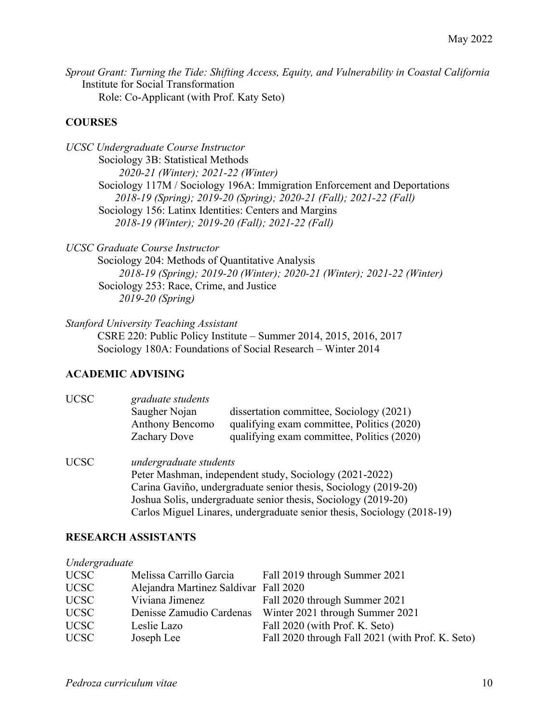*Sprout Grant: Turning the Tide: Shifting Access, Equity, and Vulnerability in Coastal California* Institute for Social Transformation Role: Co-Applicant (with Prof. Katy Seto)

## **COURSES**

*UCSC Undergraduate Course Instructor* Sociology 3B: Statistical Methods *2020-21 (Winter); 2021-22 (Winter)* Sociology 117M / Sociology 196A: Immigration Enforcement and Deportations *2018-19 (Spring); 2019-20 (Spring); 2020-21 (Fall); 2021-22 (Fall)* Sociology 156: Latinx Identities: Centers and Margins *2018-19 (Winter); 2019-20 (Fall); 2021-22 (Fall)*

*UCSC Graduate Course Instructor*

Sociology 204: Methods of Quantitative Analysis *2018-19 (Spring); 2019-20 (Winter); 2020-21 (Winter); 2021-22 (Winter)* Sociology 253: Race, Crime, and Justice *2019-20 (Spring)*

*Stanford University Teaching Assistant* CSRE 220: Public Policy Institute – Summer 2014, 2015, 2016, 2017 Sociology 180A: Foundations of Social Research – Winter 2014

### **ACADEMIC ADVISING**

| <b>UCSC</b> | graduate students<br>Saugher Nojan<br><b>Anthony Bencomo</b><br>Zachary Dove | dissertation committee, Sociology (2021)<br>qualifying exam committee, Politics (2020)<br>qualifying exam committee, Politics (2020) |  |
|-------------|------------------------------------------------------------------------------|--------------------------------------------------------------------------------------------------------------------------------------|--|
| <b>UCSC</b> | undergraduate students                                                       |                                                                                                                                      |  |
|             | Peter Mashman, independent study, Sociology (2021-2022)                      |                                                                                                                                      |  |
|             | Carina Gaviño, undergraduate senior thesis, Sociology (2019-20)              |                                                                                                                                      |  |
|             | Joshua Solis, undergraduate senior thesis, Sociology (2019-20)               |                                                                                                                                      |  |
|             |                                                                              | Carlos Miguel Linares, undergraduate senior thesis, Sociology (2018-19)                                                              |  |

#### **RESEARCH ASSISTANTS**

| Undergraduate                                                                 |  |
|-------------------------------------------------------------------------------|--|
| <b>UCSC</b><br>Fall 2019 through Summer 2021<br>Melissa Carrillo Garcia       |  |
| <b>UCSC</b><br>Alejandra Martinez Saldivar Fall 2020                          |  |
| <b>UCSC</b><br>Viviana Jimenez<br>Fall 2020 through Summer 2021               |  |
| Winter 2021 through Summer 2021<br><b>UCSC</b><br>Denisse Zamudio Cardenas    |  |
| Fall 2020 (with Prof. K. Seto)<br><b>UCSC</b><br>Leslie Lazo                  |  |
| Fall 2020 through Fall 2021 (with Prof. K. Seto)<br><b>UCSC</b><br>Joseph Lee |  |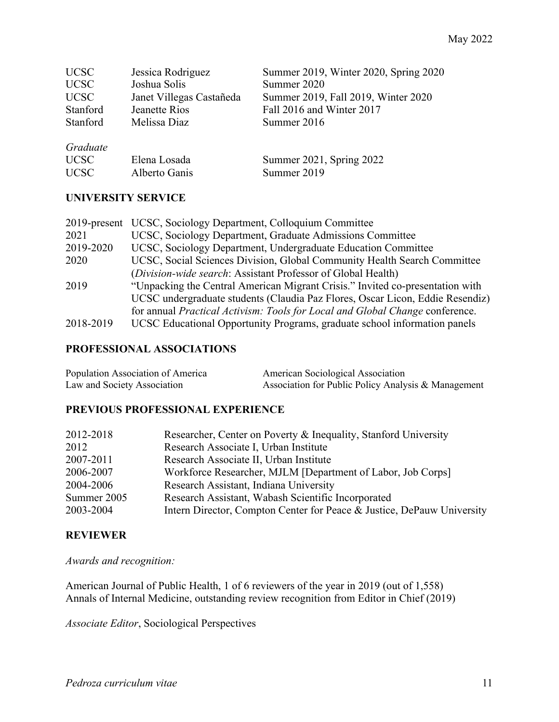| <b>UCSC</b><br><b>UCSC</b> | Jessica Rodriguez<br>Joshua Solis | Summer 2019, Winter 2020, Spring 2020<br>Summer 2020 |
|----------------------------|-----------------------------------|------------------------------------------------------|
| <b>UCSC</b>                | Janet Villegas Castañeda          | Summer 2019, Fall 2019, Winter 2020                  |
| Stanford                   | Jeanette Rios                     | Fall 2016 and Winter 2017                            |
| Stanford                   | Melissa Diaz                      | Summer 2016                                          |
| Graduate                   |                                   |                                                      |
| <b>UCSC</b>                | Elena Losada                      | Summer 2021, Spring 2022                             |
| <b>UCSC</b>                | Alberto Ganis                     | Summer 2019                                          |

### **UNIVERSITY SERVICE**

| $2019$ -present | UCSC, Sociology Department, Colloquium Committee                                    |
|-----------------|-------------------------------------------------------------------------------------|
| 2021            | UCSC, Sociology Department, Graduate Admissions Committee                           |
| 2019-2020       | UCSC, Sociology Department, Undergraduate Education Committee                       |
| 2020            | UCSC, Social Sciences Division, Global Community Health Search Committee            |
|                 | (Division-wide search: Assistant Professor of Global Health)                        |
| 2019            | "Unpacking the Central American Migrant Crisis." Invited co-presentation with       |
|                 | UCSC undergraduate students (Claudia Paz Flores, Oscar Licon, Eddie Resendiz)       |
|                 | for annual <i>Practical Activism: Tools for Local and Global Change</i> conference. |
| 2018-2019       | UCSC Educational Opportunity Programs, graduate school information panels           |

## **PROFESSIONAL ASSOCIATIONS**

| Population Association of America | American Sociological Association                   |
|-----------------------------------|-----------------------------------------------------|
| Law and Society Association       | Association for Public Policy Analysis & Management |

## **PREVIOUS PROFESSIONAL EXPERIENCE**

| 2012-2018   | Researcher, Center on Poverty & Inequality, Stanford University        |
|-------------|------------------------------------------------------------------------|
| 2012        | Research Associate I, Urban Institute                                  |
| 2007-2011   | Research Associate II, Urban Institute                                 |
| 2006-2007   | Workforce Researcher, MJLM [Department of Labor, Job Corps]            |
| 2004-2006   | Research Assistant, Indiana University                                 |
| Summer 2005 | Research Assistant, Wabash Scientific Incorporated                     |
| 2003-2004   | Intern Director, Compton Center for Peace & Justice, DePauw University |

## **REVIEWER**

*Awards and recognition:*

American Journal of Public Health, 1 of 6 reviewers of the year in 2019 (out of 1,558) Annals of Internal Medicine, outstanding review recognition from Editor in Chief (2019)

*Associate Editor*, Sociological Perspectives